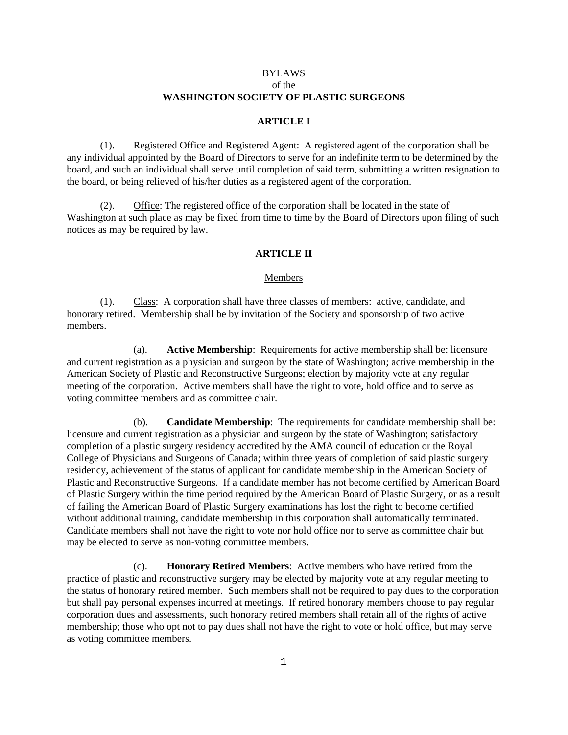# BYLAWS of the  **WASHINGTON SOCIETY OF PLASTIC SURGEONS**

#### **ARTICLE I**

 (1). Registered Office and Registered Agent: A registered agent of the corporation shall be any individual appointed by the Board of Directors to serve for an indefinite term to be determined by the board, and such an individual shall serve until completion of said term, submitting a written resignation to the board, or being relieved of his/her duties as a registered agent of the corporation.

 (2). Office: The registered office of the corporation shall be located in the state of Washington at such place as may be fixed from time to time by the Board of Directors upon filing of such notices as may be required by law.

### **ARTICLE II**

# Members

 (1). Class: A corporation shall have three classes of members: active, candidate, and honorary retired. Membership shall be by invitation of the Society and sponsorship of two active members.

 (a). **Active Membership**: Requirements for active membership shall be: licensure and current registration as a physician and surgeon by the state of Washington; active membership in the American Society of Plastic and Reconstructive Surgeons; election by majority vote at any regular meeting of the corporation. Active members shall have the right to vote, hold office and to serve as voting committee members and as committee chair.

 (b). **Candidate Membership**: The requirements for candidate membership shall be: licensure and current registration as a physician and surgeon by the state of Washington; satisfactory completion of a plastic surgery residency accredited by the AMA council of education or the Royal College of Physicians and Surgeons of Canada; within three years of completion of said plastic surgery residency, achievement of the status of applicant for candidate membership in the American Society of Plastic and Reconstructive Surgeons. If a candidate member has not become certified by American Board of Plastic Surgery within the time period required by the American Board of Plastic Surgery, or as a result of failing the American Board of Plastic Surgery examinations has lost the right to become certified without additional training, candidate membership in this corporation shall automatically terminated. Candidate members shall not have the right to vote nor hold office nor to serve as committee chair but may be elected to serve as non-voting committee members.

 (c). **Honorary Retired Members**: Active members who have retired from the practice of plastic and reconstructive surgery may be elected by majority vote at any regular meeting to the status of honorary retired member. Such members shall not be required to pay dues to the corporation but shall pay personal expenses incurred at meetings. If retired honorary members choose to pay regular corporation dues and assessments, such honorary retired members shall retain all of the rights of active membership; those who opt not to pay dues shall not have the right to vote or hold office, but may serve as voting committee members.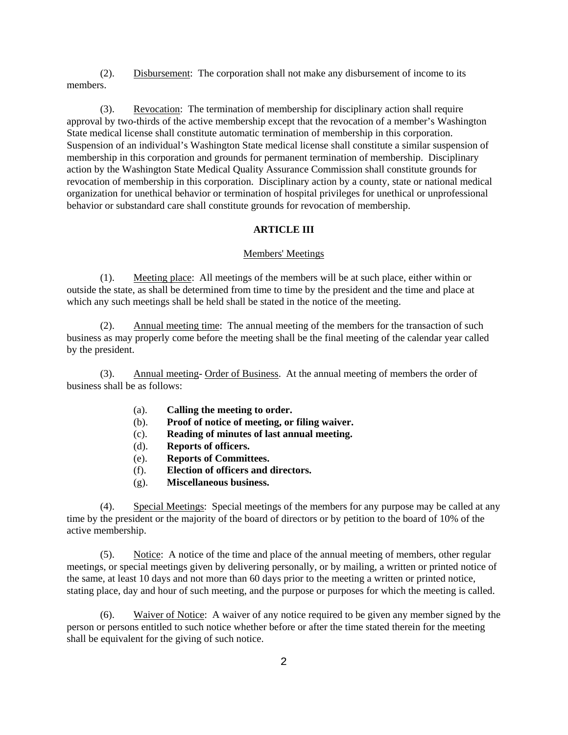(2). Disbursement: The corporation shall not make any disbursement of income to its members.

 (3). Revocation: The termination of membership for disciplinary action shall require approval by two-thirds of the active membership except that the revocation of a member's Washington State medical license shall constitute automatic termination of membership in this corporation. Suspension of an individual's Washington State medical license shall constitute a similar suspension of membership in this corporation and grounds for permanent termination of membership. Disciplinary action by the Washington State Medical Quality Assurance Commission shall constitute grounds for revocation of membership in this corporation. Disciplinary action by a county, state or national medical organization for unethical behavior or termination of hospital privileges for unethical or unprofessional behavior or substandard care shall constitute grounds for revocation of membership.

# **ARTICLE III**

### Members' Meetings

 (1). Meeting place: All meetings of the members will be at such place, either within or outside the state, as shall be determined from time to time by the president and the time and place at which any such meetings shall be held shall be stated in the notice of the meeting.

 (2). Annual meeting time: The annual meeting of the members for the transaction of such business as may properly come before the meeting shall be the final meeting of the calendar year called by the president.

 (3). Annual meeting- Order of Business. At the annual meeting of members the order of business shall be as follows:

- (a). **Calling the meeting to order.**
- (b). **Proof of notice of meeting, or filing waiver.**
- (c). **Reading of minutes of last annual meeting.**
- (d). **Reports of officers.**
- (e). **Reports of Committees.**
- (f). **Election of officers and directors.**
- (g). **Miscellaneous business.**

 (4). Special Meetings: Special meetings of the members for any purpose may be called at any time by the president or the majority of the board of directors or by petition to the board of 10% of the active membership.

 (5). Notice: A notice of the time and place of the annual meeting of members, other regular meetings, or special meetings given by delivering personally, or by mailing, a written or printed notice of the same, at least 10 days and not more than 60 days prior to the meeting a written or printed notice, stating place, day and hour of such meeting, and the purpose or purposes for which the meeting is called.

 (6). Waiver of Notice: A waiver of any notice required to be given any member signed by the person or persons entitled to such notice whether before or after the time stated therein for the meeting shall be equivalent for the giving of such notice.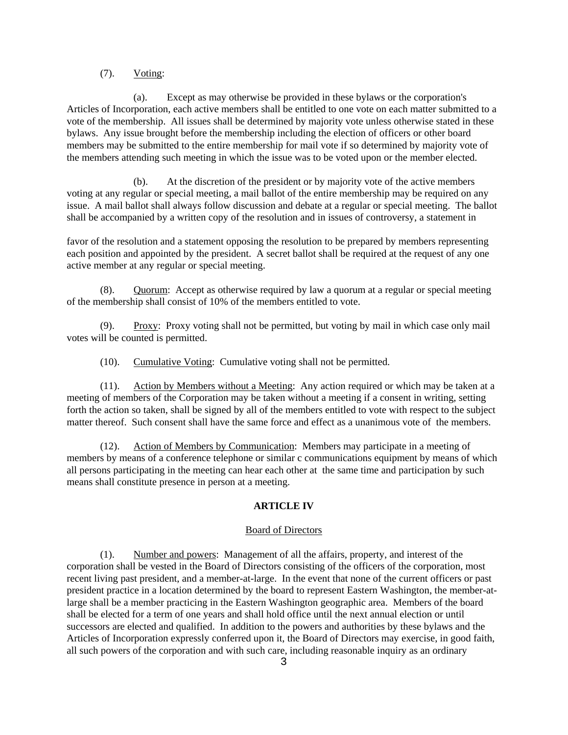# (7). Voting:

 (a). Except as may otherwise be provided in these bylaws or the corporation's Articles of Incorporation, each active members shall be entitled to one vote on each matter submitted to a vote of the membership. All issues shall be determined by majority vote unless otherwise stated in these bylaws. Any issue brought before the membership including the election of officers or other board members may be submitted to the entire membership for mail vote if so determined by majority vote of the members attending such meeting in which the issue was to be voted upon or the member elected.

 (b). At the discretion of the president or by majority vote of the active members voting at any regular or special meeting, a mail ballot of the entire membership may be required on any issue. A mail ballot shall always follow discussion and debate at a regular or special meeting. The ballot shall be accompanied by a written copy of the resolution and in issues of controversy, a statement in

favor of the resolution and a statement opposing the resolution to be prepared by members representing each position and appointed by the president. A secret ballot shall be required at the request of any one active member at any regular or special meeting.

 (8). Quorum: Accept as otherwise required by law a quorum at a regular or special meeting of the membership shall consist of 10% of the members entitled to vote.

 (9). Proxy: Proxy voting shall not be permitted, but voting by mail in which case only mail votes will be counted is permitted.

(10). Cumulative Voting: Cumulative voting shall not be permitted.

 (11). Action by Members without a Meeting: Any action required or which may be taken at a meeting of members of the Corporation may be taken without a meeting if a consent in writing, setting forth the action so taken, shall be signed by all of the members entitled to vote with respect to the subject matter thereof. Such consent shall have the same force and effect as a unanimous vote of the members.

 (12). Action of Members by Communication: Members may participate in a meeting of members by means of a conference telephone or similar c communications equipment by means of which all persons participating in the meeting can hear each other at the same time and participation by such means shall constitute presence in person at a meeting.

# **ARTICLE IV**

#### Board of Directors

 (1). Number and powers: Management of all the affairs, property, and interest of the corporation shall be vested in the Board of Directors consisting of the officers of the corporation, most recent living past president, and a member-at-large. In the event that none of the current officers or past president practice in a location determined by the board to represent Eastern Washington, the member-atlarge shall be a member practicing in the Eastern Washington geographic area. Members of the board shall be elected for a term of one years and shall hold office until the next annual election or until successors are elected and qualified. In addition to the powers and authorities by these bylaws and the Articles of Incorporation expressly conferred upon it, the Board of Directors may exercise, in good faith, all such powers of the corporation and with such care, including reasonable inquiry as an ordinary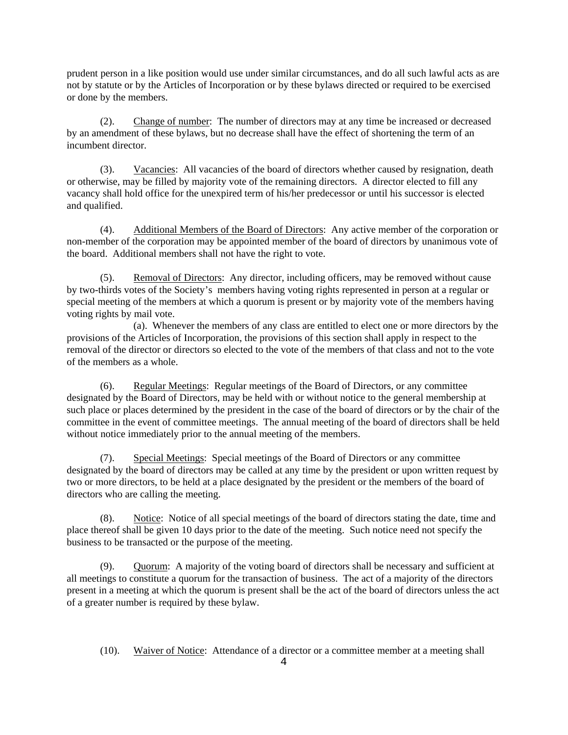prudent person in a like position would use under similar circumstances, and do all such lawful acts as are not by statute or by the Articles of Incorporation or by these bylaws directed or required to be exercised or done by the members.

 (2). Change of number: The number of directors may at any time be increased or decreased by an amendment of these bylaws, but no decrease shall have the effect of shortening the term of an incumbent director.

 (3). Vacancies: All vacancies of the board of directors whether caused by resignation, death or otherwise, may be filled by majority vote of the remaining directors. A director elected to fill any vacancy shall hold office for the unexpired term of his/her predecessor or until his successor is elected and qualified.

 (4). Additional Members of the Board of Directors: Any active member of the corporation or non-member of the corporation may be appointed member of the board of directors by unanimous vote of the board. Additional members shall not have the right to vote.

 (5). Removal of Directors: Any director, including officers, may be removed without cause by two-thirds votes of the Society's members having voting rights represented in person at a regular or special meeting of the members at which a quorum is present or by majority vote of the members having voting rights by mail vote.

 (a). Whenever the members of any class are entitled to elect one or more directors by the provisions of the Articles of Incorporation, the provisions of this section shall apply in respect to the removal of the director or directors so elected to the vote of the members of that class and not to the vote of the members as a whole.

 (6). Regular Meetings: Regular meetings of the Board of Directors, or any committee designated by the Board of Directors, may be held with or without notice to the general membership at such place or places determined by the president in the case of the board of directors or by the chair of the committee in the event of committee meetings. The annual meeting of the board of directors shall be held without notice immediately prior to the annual meeting of the members.

 (7). Special Meetings: Special meetings of the Board of Directors or any committee designated by the board of directors may be called at any time by the president or upon written request by two or more directors, to be held at a place designated by the president or the members of the board of directors who are calling the meeting.

 (8). Notice: Notice of all special meetings of the board of directors stating the date, time and place thereof shall be given 10 days prior to the date of the meeting. Such notice need not specify the business to be transacted or the purpose of the meeting.

 (9). Quorum: A majority of the voting board of directors shall be necessary and sufficient at all meetings to constitute a quorum for the transaction of business. The act of a majority of the directors present in a meeting at which the quorum is present shall be the act of the board of directors unless the act of a greater number is required by these bylaw.

(10). Waiver of Notice: Attendance of a director or a committee member at a meeting shall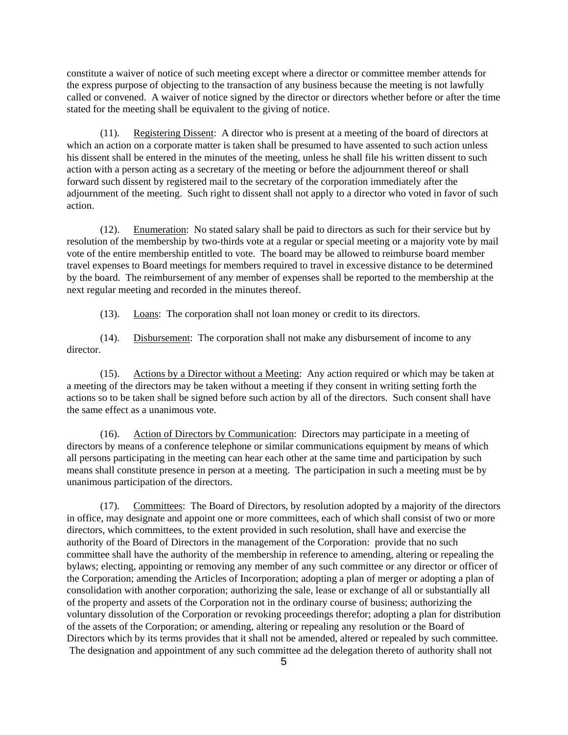constitute a waiver of notice of such meeting except where a director or committee member attends for the express purpose of objecting to the transaction of any business because the meeting is not lawfully called or convened. A waiver of notice signed by the director or directors whether before or after the time stated for the meeting shall be equivalent to the giving of notice.

 (11). Registering Dissent: A director who is present at a meeting of the board of directors at which an action on a corporate matter is taken shall be presumed to have assented to such action unless his dissent shall be entered in the minutes of the meeting, unless he shall file his written dissent to such action with a person acting as a secretary of the meeting or before the adjournment thereof or shall forward such dissent by registered mail to the secretary of the corporation immediately after the adjournment of the meeting. Such right to dissent shall not apply to a director who voted in favor of such action.

 (12). Enumeration: No stated salary shall be paid to directors as such for their service but by resolution of the membership by two-thirds vote at a regular or special meeting or a majority vote by mail vote of the entire membership entitled to vote. The board may be allowed to reimburse board member travel expenses to Board meetings for members required to travel in excessive distance to be determined by the board. The reimbursement of any member of expenses shall be reported to the membership at the next regular meeting and recorded in the minutes thereof.

(13). Loans: The corporation shall not loan money or credit to its directors.

 (14). Disbursement: The corporation shall not make any disbursement of income to any director.

 (15). Actions by a Director without a Meeting: Any action required or which may be taken at a meeting of the directors may be taken without a meeting if they consent in writing setting forth the actions so to be taken shall be signed before such action by all of the directors. Such consent shall have the same effect as a unanimous vote.

 (16). Action of Directors by Communication: Directors may participate in a meeting of directors by means of a conference telephone or similar communications equipment by means of which all persons participating in the meeting can hear each other at the same time and participation by such means shall constitute presence in person at a meeting. The participation in such a meeting must be by unanimous participation of the directors.

 (17). Committees: The Board of Directors, by resolution adopted by a majority of the directors in office, may designate and appoint one or more committees, each of which shall consist of two or more directors, which committees, to the extent provided in such resolution, shall have and exercise the authority of the Board of Directors in the management of the Corporation: provide that no such committee shall have the authority of the membership in reference to amending, altering or repealing the bylaws; electing, appointing or removing any member of any such committee or any director or officer of the Corporation; amending the Articles of Incorporation; adopting a plan of merger or adopting a plan of consolidation with another corporation; authorizing the sale, lease or exchange of all or substantially all of the property and assets of the Corporation not in the ordinary course of business; authorizing the voluntary dissolution of the Corporation or revoking proceedings therefor; adopting a plan for distribution of the assets of the Corporation; or amending, altering or repealing any resolution or the Board of Directors which by its terms provides that it shall not be amended, altered or repealed by such committee. The designation and appointment of any such committee ad the delegation thereto of authority shall not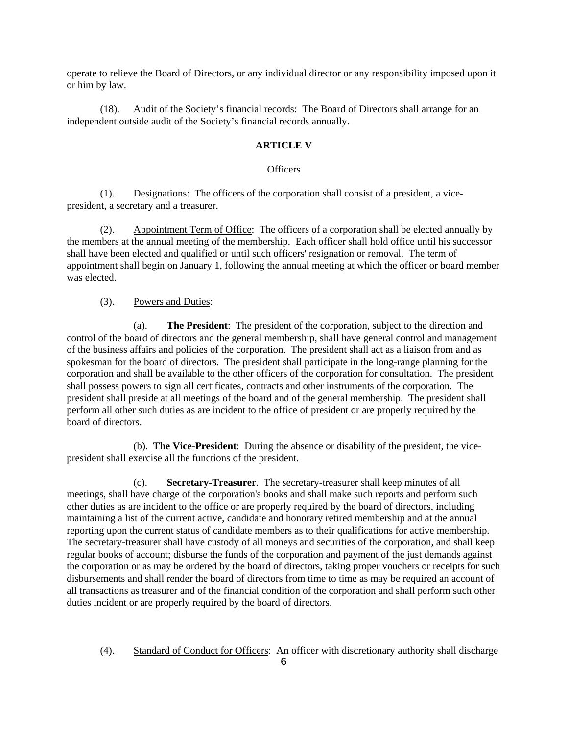operate to relieve the Board of Directors, or any individual director or any responsibility imposed upon it or him by law.

 (18). Audit of the Society's financial records: The Board of Directors shall arrange for an independent outside audit of the Society's financial records annually.

# **ARTICLE V**

# **Officers**

 (1). Designations: The officers of the corporation shall consist of a president, a vicepresident, a secretary and a treasurer.

 (2). Appointment Term of Office: The officers of a corporation shall be elected annually by the members at the annual meeting of the membership. Each officer shall hold office until his successor shall have been elected and qualified or until such officers' resignation or removal. The term of appointment shall begin on January 1, following the annual meeting at which the officer or board member was elected.

(3). Powers and Duties:

 (a). **The President**: The president of the corporation, subject to the direction and control of the board of directors and the general membership, shall have general control and management of the business affairs and policies of the corporation. The president shall act as a liaison from and as spokesman for the board of directors. The president shall participate in the long-range planning for the corporation and shall be available to the other officers of the corporation for consultation. The president shall possess powers to sign all certificates, contracts and other instruments of the corporation. The president shall preside at all meetings of the board and of the general membership. The president shall perform all other such duties as are incident to the office of president or are properly required by the board of directors.

 (b). **The Vice-President**: During the absence or disability of the president, the vicepresident shall exercise all the functions of the president.

 (c). **Secretary-Treasurer**. The secretary-treasurer shall keep minutes of all meetings, shall have charge of the corporation's books and shall make such reports and perform such other duties as are incident to the office or are properly required by the board of directors, including maintaining a list of the current active, candidate and honorary retired membership and at the annual reporting upon the current status of candidate members as to their qualifications for active membership. The secretary-treasurer shall have custody of all moneys and securities of the corporation, and shall keep regular books of account; disburse the funds of the corporation and payment of the just demands against the corporation or as may be ordered by the board of directors, taking proper vouchers or receipts for such disbursements and shall render the board of directors from time to time as may be required an account of all transactions as treasurer and of the financial condition of the corporation and shall perform such other duties incident or are properly required by the board of directors.

(4). Standard of Conduct for Officers: An officer with discretionary authority shall discharge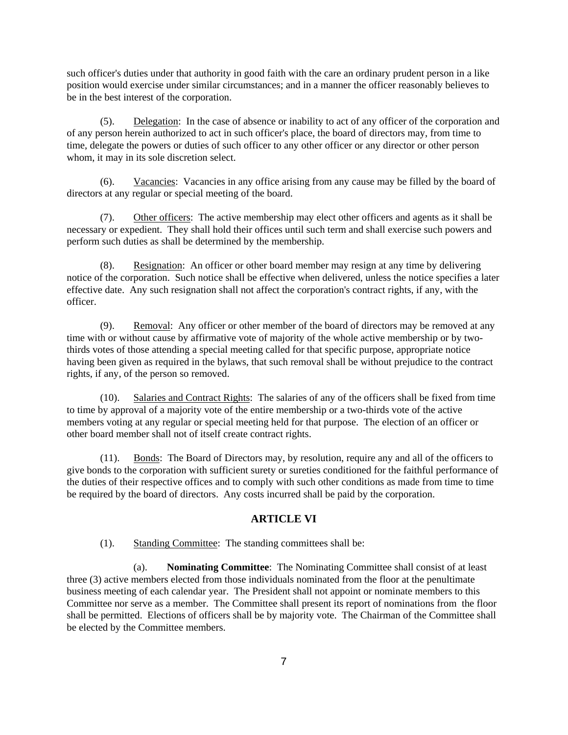such officer's duties under that authority in good faith with the care an ordinary prudent person in a like position would exercise under similar circumstances; and in a manner the officer reasonably believes to be in the best interest of the corporation.

 (5). Delegation: In the case of absence or inability to act of any officer of the corporation and of any person herein authorized to act in such officer's place, the board of directors may, from time to time, delegate the powers or duties of such officer to any other officer or any director or other person whom, it may in its sole discretion select.

 (6). Vacancies: Vacancies in any office arising from any cause may be filled by the board of directors at any regular or special meeting of the board.

 (7). Other officers: The active membership may elect other officers and agents as it shall be necessary or expedient. They shall hold their offices until such term and shall exercise such powers and perform such duties as shall be determined by the membership.

 (8). Resignation: An officer or other board member may resign at any time by delivering notice of the corporation. Such notice shall be effective when delivered, unless the notice specifies a later effective date. Any such resignation shall not affect the corporation's contract rights, if any, with the officer.

(9). Removal: Any officer or other member of the board of directors may be removed at any time with or without cause by affirmative vote of majority of the whole active membership or by twothirds votes of those attending a special meeting called for that specific purpose, appropriate notice having been given as required in the bylaws, that such removal shall be without prejudice to the contract rights, if any, of the person so removed.

 (10). Salaries and Contract Rights: The salaries of any of the officers shall be fixed from time to time by approval of a majority vote of the entire membership or a two-thirds vote of the active members voting at any regular or special meeting held for that purpose. The election of an officer or other board member shall not of itself create contract rights.

 (11). Bonds: The Board of Directors may, by resolution, require any and all of the officers to give bonds to the corporation with sufficient surety or sureties conditioned for the faithful performance of the duties of their respective offices and to comply with such other conditions as made from time to time be required by the board of directors. Any costs incurred shall be paid by the corporation.

# **ARTICLE VI**

(1). Standing Committee: The standing committees shall be:

 (a). **Nominating Committee**: The Nominating Committee shall consist of at least three (3) active members elected from those individuals nominated from the floor at the penultimate business meeting of each calendar year. The President shall not appoint or nominate members to this Committee nor serve as a member. The Committee shall present its report of nominations from the floor shall be permitted. Elections of officers shall be by majority vote. The Chairman of the Committee shall be elected by the Committee members.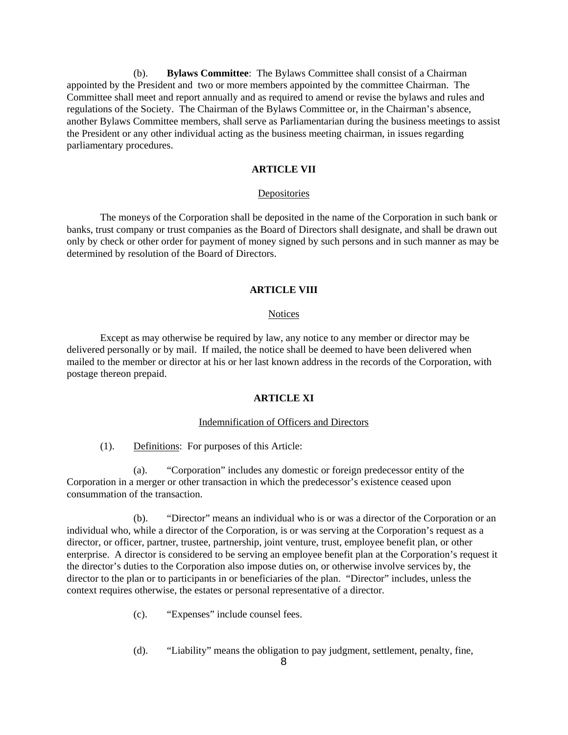(b). **Bylaws Committee**: The Bylaws Committee shall consist of a Chairman appointed by the President and two or more members appointed by the committee Chairman. The Committee shall meet and report annually and as required to amend or revise the bylaws and rules and regulations of the Society. The Chairman of the Bylaws Committee or, in the Chairman's absence, another Bylaws Committee members, shall serve as Parliamentarian during the business meetings to assist the President or any other individual acting as the business meeting chairman, in issues regarding parliamentary procedures.

# **ARTICLE VII**

### Depositories

 The moneys of the Corporation shall be deposited in the name of the Corporation in such bank or banks, trust company or trust companies as the Board of Directors shall designate, and shall be drawn out only by check or other order for payment of money signed by such persons and in such manner as may be determined by resolution of the Board of Directors.

#### **ARTICLE VIII**

#### Notices

 Except as may otherwise be required by law, any notice to any member or director may be delivered personally or by mail. If mailed, the notice shall be deemed to have been delivered when mailed to the member or director at his or her last known address in the records of the Corporation, with postage thereon prepaid.

### **ARTICLE XI**

### Indemnification of Officers and Directors

(1). Definitions: For purposes of this Article:

 (a). "Corporation" includes any domestic or foreign predecessor entity of the Corporation in a merger or other transaction in which the predecessor's existence ceased upon consummation of the transaction.

 (b). "Director" means an individual who is or was a director of the Corporation or an individual who, while a director of the Corporation, is or was serving at the Corporation's request as a director, or officer, partner, trustee, partnership, joint venture, trust, employee benefit plan, or other enterprise. A director is considered to be serving an employee benefit plan at the Corporation's request it the director's duties to the Corporation also impose duties on, or otherwise involve services by, the director to the plan or to participants in or beneficiaries of the plan. "Director" includes, unless the context requires otherwise, the estates or personal representative of a director.

- (c). "Expenses" include counsel fees.
- (d). "Liability" means the obligation to pay judgment, settlement, penalty, fine,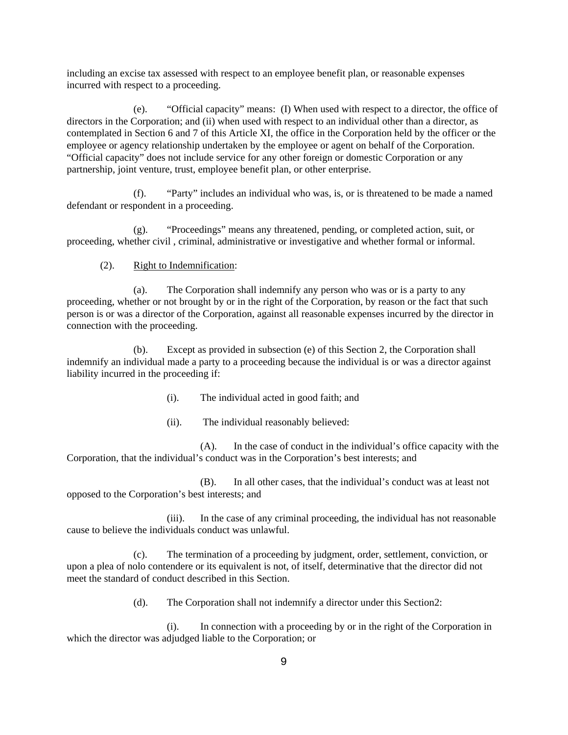including an excise tax assessed with respect to an employee benefit plan, or reasonable expenses incurred with respect to a proceeding.

 (e). "Official capacity" means: (I) When used with respect to a director, the office of directors in the Corporation; and (ii) when used with respect to an individual other than a director, as contemplated in Section 6 and 7 of this Article XI, the office in the Corporation held by the officer or the employee or agency relationship undertaken by the employee or agent on behalf of the Corporation. "Official capacity" does not include service for any other foreign or domestic Corporation or any partnership, joint venture, trust, employee benefit plan, or other enterprise.

 (f). "Party" includes an individual who was, is, or is threatened to be made a named defendant or respondent in a proceeding.

 (g). "Proceedings" means any threatened, pending, or completed action, suit, or proceeding, whether civil , criminal, administrative or investigative and whether formal or informal.

# (2). Right to Indemnification:

 (a). The Corporation shall indemnify any person who was or is a party to any proceeding, whether or not brought by or in the right of the Corporation, by reason or the fact that such person is or was a director of the Corporation, against all reasonable expenses incurred by the director in connection with the proceeding.

 (b). Except as provided in subsection (e) of this Section 2, the Corporation shall indemnify an individual made a party to a proceeding because the individual is or was a director against liability incurred in the proceeding if:

- (i). The individual acted in good faith; and
- (ii). The individual reasonably believed:

 (A). In the case of conduct in the individual's office capacity with the Corporation, that the individual's conduct was in the Corporation's best interests; and

 (B). In all other cases, that the individual's conduct was at least not opposed to the Corporation's best interests; and

 (iii). In the case of any criminal proceeding, the individual has not reasonable cause to believe the individuals conduct was unlawful.

 (c). The termination of a proceeding by judgment, order, settlement, conviction, or upon a plea of nolo contendere or its equivalent is not, of itself, determinative that the director did not meet the standard of conduct described in this Section.

(d). The Corporation shall not indemnify a director under this Section2:

 (i). In connection with a proceeding by or in the right of the Corporation in which the director was adjudged liable to the Corporation; or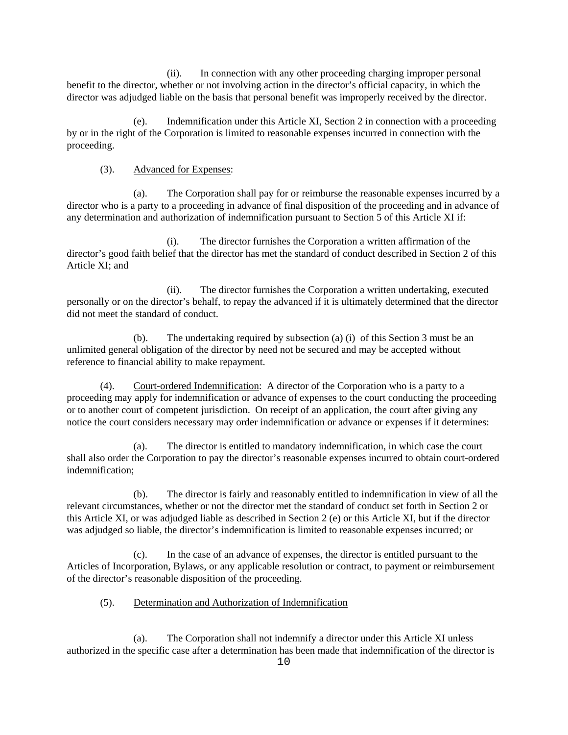(ii). In connection with any other proceeding charging improper personal benefit to the director, whether or not involving action in the director's official capacity, in which the director was adjudged liable on the basis that personal benefit was improperly received by the director.

 (e). Indemnification under this Article XI, Section 2 in connection with a proceeding by or in the right of the Corporation is limited to reasonable expenses incurred in connection with the proceeding.

# (3). Advanced for Expenses:

 (a). The Corporation shall pay for or reimburse the reasonable expenses incurred by a director who is a party to a proceeding in advance of final disposition of the proceeding and in advance of any determination and authorization of indemnification pursuant to Section 5 of this Article XI if:

 (i). The director furnishes the Corporation a written affirmation of the director's good faith belief that the director has met the standard of conduct described in Section 2 of this Article XI; and

 (ii). The director furnishes the Corporation a written undertaking, executed personally or on the director's behalf, to repay the advanced if it is ultimately determined that the director did not meet the standard of conduct.

 (b). The undertaking required by subsection (a) (i) of this Section 3 must be an unlimited general obligation of the director by need not be secured and may be accepted without reference to financial ability to make repayment.

 (4). Court-ordered Indemnification: A director of the Corporation who is a party to a proceeding may apply for indemnification or advance of expenses to the court conducting the proceeding or to another court of competent jurisdiction. On receipt of an application, the court after giving any notice the court considers necessary may order indemnification or advance or expenses if it determines:

 (a). The director is entitled to mandatory indemnification, in which case the court shall also order the Corporation to pay the director's reasonable expenses incurred to obtain court-ordered indemnification;

 (b). The director is fairly and reasonably entitled to indemnification in view of all the relevant circumstances, whether or not the director met the standard of conduct set forth in Section 2 or this Article XI, or was adjudged liable as described in Section 2 (e) or this Article XI, but if the director was adjudged so liable, the director's indemnification is limited to reasonable expenses incurred; or

 (c). In the case of an advance of expenses, the director is entitled pursuant to the Articles of Incorporation, Bylaws, or any applicable resolution or contract, to payment or reimbursement of the director's reasonable disposition of the proceeding.

# (5). Determination and Authorization of Indemnification

 (a). The Corporation shall not indemnify a director under this Article XI unless authorized in the specific case after a determination has been made that indemnification of the director is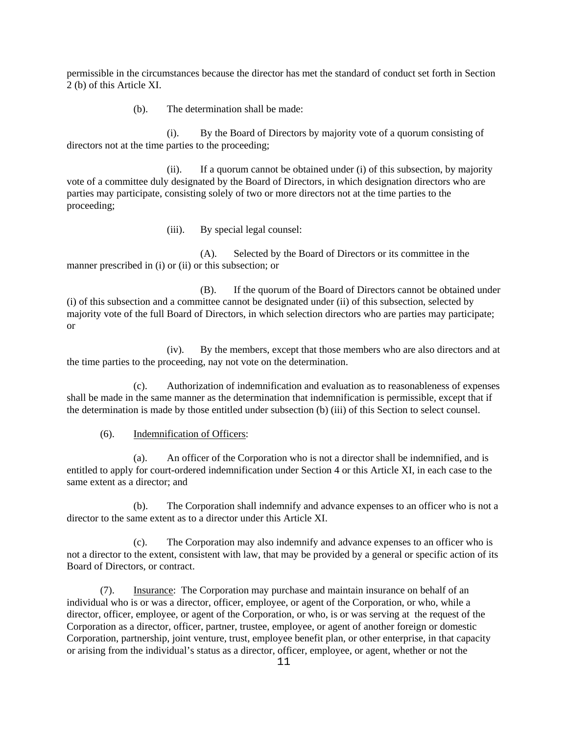permissible in the circumstances because the director has met the standard of conduct set forth in Section 2 (b) of this Article XI.

(b). The determination shall be made:

 (i). By the Board of Directors by majority vote of a quorum consisting of directors not at the time parties to the proceeding;

 (ii). If a quorum cannot be obtained under (i) of this subsection, by majority vote of a committee duly designated by the Board of Directors, in which designation directors who are parties may participate, consisting solely of two or more directors not at the time parties to the proceeding;

(iii). By special legal counsel:

 (A). Selected by the Board of Directors or its committee in the manner prescribed in (i) or (ii) or this subsection; or

 (B). If the quorum of the Board of Directors cannot be obtained under (i) of this subsection and a committee cannot be designated under (ii) of this subsection, selected by majority vote of the full Board of Directors, in which selection directors who are parties may participate; or

 (iv). By the members, except that those members who are also directors and at the time parties to the proceeding, nay not vote on the determination.

 (c). Authorization of indemnification and evaluation as to reasonableness of expenses shall be made in the same manner as the determination that indemnification is permissible, except that if the determination is made by those entitled under subsection (b) (iii) of this Section to select counsel.

# (6). Indemnification of Officers:

 (a). An officer of the Corporation who is not a director shall be indemnified, and is entitled to apply for court-ordered indemnification under Section 4 or this Article XI, in each case to the same extent as a director; and

 (b). The Corporation shall indemnify and advance expenses to an officer who is not a director to the same extent as to a director under this Article XI.

 (c). The Corporation may also indemnify and advance expenses to an officer who is not a director to the extent, consistent with law, that may be provided by a general or specific action of its Board of Directors, or contract.

 (7). Insurance: The Corporation may purchase and maintain insurance on behalf of an individual who is or was a director, officer, employee, or agent of the Corporation, or who, while a director, officer, employee, or agent of the Corporation, or who, is or was serving at the request of the Corporation as a director, officer, partner, trustee, employee, or agent of another foreign or domestic Corporation, partnership, joint venture, trust, employee benefit plan, or other enterprise, in that capacity or arising from the individual's status as a director, officer, employee, or agent, whether or not the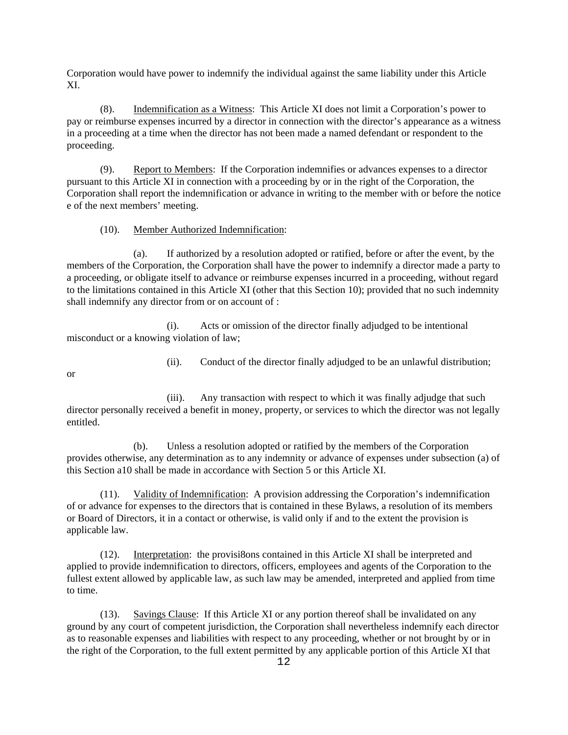Corporation would have power to indemnify the individual against the same liability under this Article XI.

 (8). Indemnification as a Witness: This Article XI does not limit a Corporation's power to pay or reimburse expenses incurred by a director in connection with the director's appearance as a witness in a proceeding at a time when the director has not been made a named defendant or respondent to the proceeding.

 (9). Report to Members: If the Corporation indemnifies or advances expenses to a director pursuant to this Article XI in connection with a proceeding by or in the right of the Corporation, the Corporation shall report the indemnification or advance in writing to the member with or before the notice e of the next members' meeting.

# (10). Member Authorized Indemnification:

 (a). If authorized by a resolution adopted or ratified, before or after the event, by the members of the Corporation, the Corporation shall have the power to indemnify a director made a party to a proceeding, or obligate itself to advance or reimburse expenses incurred in a proceeding, without regard to the limitations contained in this Article XI (other that this Section 10); provided that no such indemnity shall indemnify any director from or on account of :

 (i). Acts or omission of the director finally adjudged to be intentional misconduct or a knowing violation of law;

(ii). Conduct of the director finally adjudged to be an unlawful distribution;

or

 (iii). Any transaction with respect to which it was finally adjudge that such director personally received a benefit in money, property, or services to which the director was not legally entitled.

 (b). Unless a resolution adopted or ratified by the members of the Corporation provides otherwise, any determination as to any indemnity or advance of expenses under subsection (a) of this Section a10 shall be made in accordance with Section 5 or this Article XI.

 (11). Validity of Indemnification: A provision addressing the Corporation's indemnification of or advance for expenses to the directors that is contained in these Bylaws, a resolution of its members or Board of Directors, it in a contact or otherwise, is valid only if and to the extent the provision is applicable law.

 (12). Interpretation: the provisi8ons contained in this Article XI shall be interpreted and applied to provide indemnification to directors, officers, employees and agents of the Corporation to the fullest extent allowed by applicable law, as such law may be amended, interpreted and applied from time to time.

 (13). Savings Clause: If this Article XI or any portion thereof shall be invalidated on any ground by any court of competent jurisdiction, the Corporation shall nevertheless indemnify each director as to reasonable expenses and liabilities with respect to any proceeding, whether or not brought by or in the right of the Corporation, to the full extent permitted by any applicable portion of this Article XI that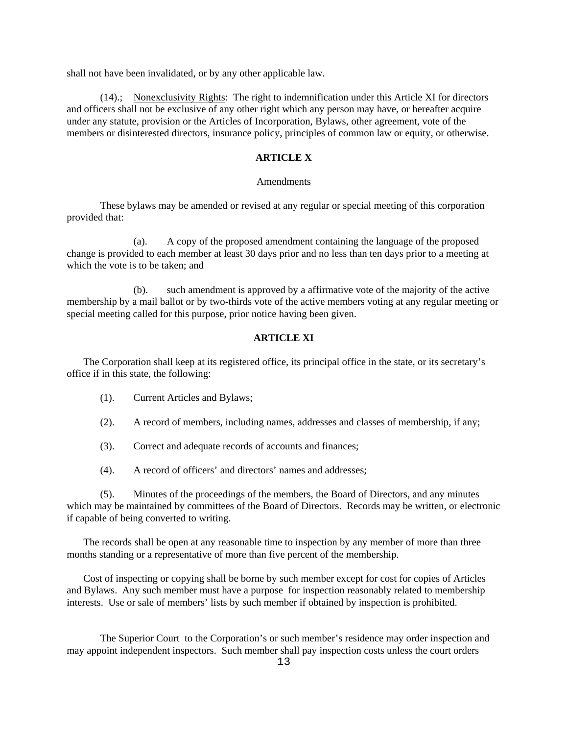shall not have been invalidated, or by any other applicable law.

 (14).; Nonexclusivity Rights: The right to indemnification under this Article XI for directors and officers shall not be exclusive of any other right which any person may have, or hereafter acquire under any statute, provision or the Articles of Incorporation, Bylaws, other agreement, vote of the members or disinterested directors, insurance policy, principles of common law or equity, or otherwise.

#### **ARTICLE X**

#### Amendments

 These bylaws may be amended or revised at any regular or special meeting of this corporation provided that:

 (a). A copy of the proposed amendment containing the language of the proposed change is provided to each member at least 30 days prior and no less than ten days prior to a meeting at which the vote is to be taken; and

 (b). such amendment is approved by a affirmative vote of the majority of the active membership by a mail ballot or by two-thirds vote of the active members voting at any regular meeting or special meeting called for this purpose, prior notice having been given.

# **ARTICLE XI**

 The Corporation shall keep at its registered office, its principal office in the state, or its secretary's office if in this state, the following:

- (1). Current Articles and Bylaws;
- (2). A record of members, including names, addresses and classes of membership, if any;
- (3). Correct and adequate records of accounts and finances;
- (4). A record of officers' and directors' names and addresses;

 (5). Minutes of the proceedings of the members, the Board of Directors, and any minutes which may be maintained by committees of the Board of Directors. Records may be written, or electronic if capable of being converted to writing.

 The records shall be open at any reasonable time to inspection by any member of more than three months standing or a representative of more than five percent of the membership.

 Cost of inspecting or copying shall be borne by such member except for cost for copies of Articles and Bylaws. Any such member must have a purpose for inspection reasonably related to membership interests. Use or sale of members' lists by such member if obtained by inspection is prohibited.

 The Superior Court to the Corporation's or such member's residence may order inspection and may appoint independent inspectors. Such member shall pay inspection costs unless the court orders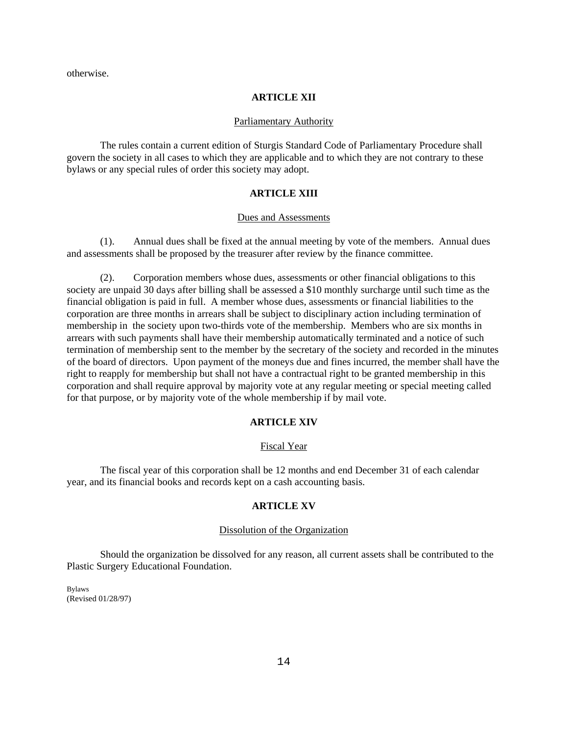otherwise.

# **ARTICLE XII**

#### Parliamentary Authority

 The rules contain a current edition of Sturgis Standard Code of Parliamentary Procedure shall govern the society in all cases to which they are applicable and to which they are not contrary to these bylaws or any special rules of order this society may adopt.

# **ARTICLE XIII**

#### Dues and Assessments

 (1). Annual dues shall be fixed at the annual meeting by vote of the members. Annual dues and assessments shall be proposed by the treasurer after review by the finance committee.

 (2). Corporation members whose dues, assessments or other financial obligations to this society are unpaid 30 days after billing shall be assessed a \$10 monthly surcharge until such time as the financial obligation is paid in full. A member whose dues, assessments or financial liabilities to the corporation are three months in arrears shall be subject to disciplinary action including termination of membership in the society upon two-thirds vote of the membership. Members who are six months in arrears with such payments shall have their membership automatically terminated and a notice of such termination of membership sent to the member by the secretary of the society and recorded in the minutes of the board of directors. Upon payment of the moneys due and fines incurred, the member shall have the right to reapply for membership but shall not have a contractual right to be granted membership in this corporation and shall require approval by majority vote at any regular meeting or special meeting called for that purpose, or by majority vote of the whole membership if by mail vote.

### **ARTICLE XIV**

#### Fiscal Year

 The fiscal year of this corporation shall be 12 months and end December 31 of each calendar year, and its financial books and records kept on a cash accounting basis.

# **ARTICLE XV**

# Dissolution of the Organization

 Should the organization be dissolved for any reason, all current assets shall be contributed to the Plastic Surgery Educational Foundation.

Bylaws (Revised 01/28/97)